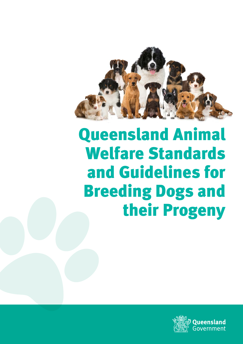

# Queensland Animal Welfare Standards and Guidelines for Breeding Dogs and their Progeny

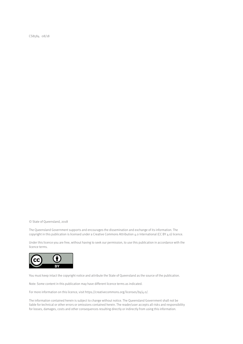CS8584 08/18

© State of Queensland, 2018

The Queensland Government supports and encourages the dissemination and exchange of its information. The copyright in this publication is licensed under a Creative Commons Attribution 4.0 International (CC BY 4.0) licence.

Under this licence you are free, without having to seek our permission, to use this publication in accordance with the licence terms.



You must keep intact the copyright notice and attribute the State of Queensland as the source of the publication.

Note: Some content in this publication may have different licence terms as indicated.

For more information on this licence, visit https://creativecommons.org/licenses/by/4.0/.

The information contained herein is subject to change without notice. The Queensland Government shall not be liable for technical or other errors or omissions contained herein. The reader/user accepts all risks and responsibility for losses, damages, costs and other consequences resulting directly or indirectly from using this information.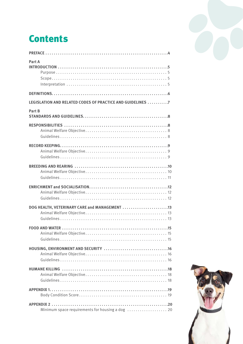# **Contents**

| Part A                                                     |
|------------------------------------------------------------|
|                                                            |
| LEGISLATION AND RELATED CODES OF PRACTICE AND GUIDELINES 7 |
| Part B                                                     |
|                                                            |
|                                                            |
|                                                            |
|                                                            |
| DOG HEALTH, VETERINARY CARE and MANAGEMENT 13              |
|                                                            |
|                                                            |
|                                                            |
|                                                            |
| Minimum space requirements for housing a dog  20           |



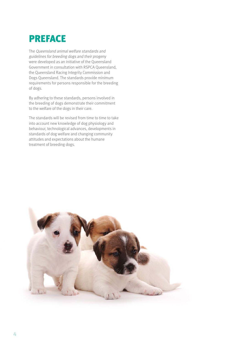# <span id="page-3-0"></span>PREFACE

The Queensland animal welfare standards and guidelines for breeding dogs and their progeny were developed as an initiative of the Queensland Government in consultation with RSPCA Queensland, the Queensland Racing Integrity Commission and Dogs Queensland. The standards provide minimum requirements for persons responsible for the breeding of dogs.

By adhering to these standards, persons involved in the breeding of dogs demonstrate their commitment to the welfare of the dogs in their care.

The standards will be revised from time to time to take into account new knowledge of dog physiology and behaviour, technological advances, developments in standards of dog welfare and changing community attitudes and expectations about the humane treatment of breeding dogs.

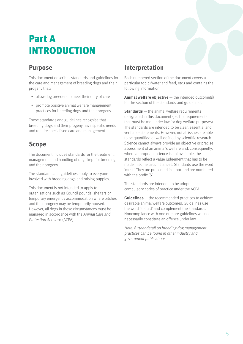# <span id="page-4-0"></span>Part A INTRODUCTION

#### **Purpose**

This document describes standards and guidelines fo r the care and management of breeding dogs and their progeny that:

- allow dog breeders to meet their duty of care
- promote positive animal welfare management practices for breeding dogs and their progeny.

These standards and guidelines recognise that breeding dogs and their progeny have specific needs and require specialised care and management.

### **Scope**

The document includes standards for the treatment, management and handling of dogs kept for breeding and their progeny.

The standards and guidelines apply to everyone involved with breeding dogs and raising puppies.

This document is not intended to apply to organisations such as Council pounds, shelters or temporary emergency accommodation where bitches and their progeny may be temporarily housed. However, all dogs in these circumstances must be managed in accordance with the Animal Care and Protection Act 2001 (ACPA).

### **Interpretation**

Each numbered section of the document covers a particular topic (water and feed, etc.) and contains the following information:

**Animal welfare objective** — the intended outcome(s) for the section of the standards and guidelines.

**Standards** — the animal welfare requirements designated in this document (i.e. the requirements that must be met under law for dog welfare purposes). The standards are intended to be clear, essential and verifiable statements. However, not all issues are able to be quantified or well defined by scientific research. Science cannot always provide an objective or precise assessment of an animal's welfare and, consequently, where appropriate science is not available, the standards reflect a value judgement that has to be made in some circumstances. Standards use the word 'must'. They are presented in a box and are numbered with the prefix 'S'.

The standards are intended to be adopted as compulsory codes of practice under the ACPA.

**Guidelines** — the recommended practices to achieve desirable animal welfare outcomes. Guidelines use the word 'should' and complement the standards. Noncompliance with one or more guidelines will not necessarily constitute an offence under law.

Note: further detail on breeding dog management practices can be found in other industry and government publications.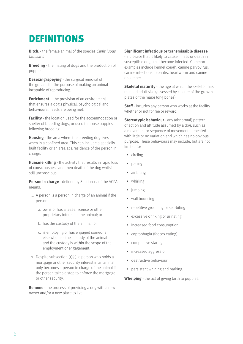### <span id="page-5-0"></span>DEFINITIONS

**Bitch**: - the female animal of the species Canis lupus familiaris

**Breeding** - the mating of dogs and the production of puppies.

**Desexing/speying** - the surgical removal of the gonads for the purpose of making an animal incapable of reproducing.

**Enrichment** – the provision of an environment that ensures a dog's physical, psychological and behavioural needs are being met.

**Facility** - the location used for the accommodation or shelter of breeding dogs, or used to house puppies following breeding.

**Housing** - the area where the breeding dog lives when in a confined area. This can include a specially built facility or an area at a residence of the person in charge.

**Humane killing** - the activity that results in rapid loss of consciousness and then death of the dog whilst still unconscious.

**Person in charge** - defined by Section 12 of the ACPA means:

- 1. A person is a person in charge of an animal if the person
	- a. owns or has a lease, licence or other proprietary interest in the animal; or
	- b. has the custody of the animal; or
	- c. is employing or has engaged someone else who has the custody of the animal and the custody is within the scope of the employment or engagement.
- 2. Despite subsection  $(1)(a)$ , a person who holds a mortgage or other security interest in an animal only becomes a person in charge of the animal if the person takes a step to enforce the mortgage or other security.

**Rehome** - the process of providing a dog with a new owner and/or a new place to live.

#### **Significant infectious or transmissible disease**

- a disease that is likely to cause illness or death in susceptible dogs that become infected. Common examples include kennel cough, canine parvovirus, canine infectious hepatitis, heartworm and canine distemper.

**Skeletal maturity** - the age at which the skeleton has reached adult size (assessed by closure of the growth plates of the major long bones).

**Staff** - includes any person who works at the facility whether or not for fee or reward.

**Stereotypic behaviour** - any (abnormal) pattern of action and attitude assumed by a dog, such as a movement or sequence of movements repeated with little or no variation and which has no obvious purpose. These behaviours may include, but are not limited to:

- circling
- pacing
- air biting
- whirling
- jumping
- wall bouncing
- repetitive grooming or self-biting
- excessive drinking or urinating
- increased food consumption
- coprophagia (faeces eating)
- compulsive staring
- increased aggression
- destructive behaviour
- persistent whining and barking.

**Whelping** - the act of giving birth to puppies.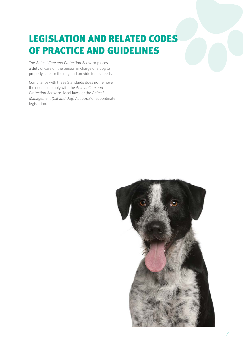# <span id="page-6-0"></span>LEGISLATION AND RELATED CODES OF PRACTICE AND GUIDELINES

The Animal Care and Protection Act 2001 places a duty of care on the person in charge of a dog to properly care for the dog and provide for its needs.

Compliance with these Standards does not remove the need to comply with the Animal Care and Protection Act 2001, local laws, or the Animal Management (Cat and Dog) Act 2008 or subordinate legislation.

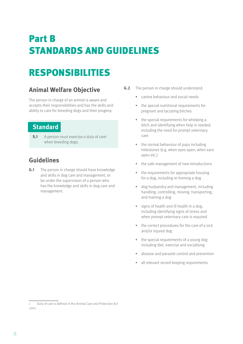# <span id="page-7-0"></span>Part B STANDARDS AND GUIDELINES

# RESPONSIBILITIES

### **Animal Welfare Objective**

The person in charge of an animal is aware and accepts their responsibilities and has the skills and ability to care for breeding dogs and their progeny.

#### **Standard**

**S.1** A person must exercise a duty of care<sup>1</sup> when breeding dogs.

### **Guidelines**

**G.1** The person in charge should have knowledge and skills in dog care and management, or be under the supervision of a person who has the knowledge and skills in dog care and management.

- **G.2** The person in charge should understand:
	- canine behaviour and social needs
	- the special nutritional requirements for pregnant and lactating bitches
	- the special requirements for whelping a bitch and identifying when help is needed, including the need for prompt veterinary care
	- the normal behaviour of pups including milestones (e.g. when eyes open, when ears open etc.)
	- the safe management of new introductions
	- the requirements for appropriate housing for a dog, including re-homing a dog
	- dog husbandry and management, including handling, controlling, moving, transporting, and training a dog
	- signs of health and ill health in a dog, including identifying signs of stress and when prompt veterinary care is required
	- the correct procedures for the care of a sick and/or injured dog
	- the special requirements of a young dog including diet, exercise and socialising
	- disease and parasite control and prevention
	- all relevant record keeping requirements.

<sup>1</sup> Duty of care is defined in the Animal Care and Protection Act <sup>2001</sup>.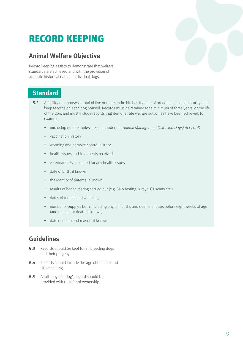# <span id="page-8-0"></span>RECORD KEEPING

#### **Animal Welfare Objective**

Record keeping assists to demonstrate that welfare standards are achieved and with the provision of accurate historical data on individual dogs.

#### **Standard**

- **S.2** A facility that houses a total of five or more entire bitches that are of breeding age and maturity must keep records on each dog housed. Records must be retained for a minimum of three years, or the life of the dog, and must include records that demonstrate welfare outcomes have been achieved, for example:
	- microchip number unless exempt under the Animal Management (Cats and Dogs) Act 2008
	- vaccination history
	- worming and parasite control history
	- health issues and treatments received
	- veterinarian/s consulted for any health issues
	- date of birth, if known
	- the identity of parents, if known
	- results of health testing carried out (e.g. DNA testing, X-rays, CT scans etc.)
	- dates of mating and whelping
	- number of puppies born, including any still births and deaths of pups before eight weeks of age (and reason for death, if known)
	- date of death and reason, if known.

- **G.3** Records should be kept for all breeding dogs and their progeny.
- **G.4** Records should include the age of the dam and sire at mating.
- **G .5** A full copy of a dog's record should be provided with transfer of ownership.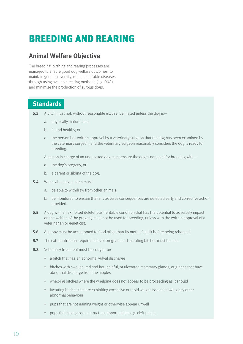# <span id="page-9-0"></span>BREEDING AND REARING

#### **Animal Welfare Objective**

The breeding, birthing and rearing processes are managed to ensure good dog welfare outcomes, to maintain genetic diversity, reduce heritable diseases through using available testing methods (e.g. DNA) and minimise the production of surplus dogs.

#### **Standards**

- **S.3** A bitch must not, without reasonable excuse, be mated unless the dog is
	- a. physically mature; and
	- b. fit and healthy; or
	- c. the person has written approval by a veterinary surgeon that the dog has been examined by the veterinary surgeon, and the veterinary surgeon reasonably considers the dog is ready for breeding.

A person in charge of an undesexed dog must ensure the dog is not used for breeding with—

- a. the dog's progeny; or
- b. a parent or sibling of the dog.
- **S.4** When whelping, a bitch must:
	- a. be able to withdraw from other animals
	- b. be monitored to ensure that any adverse consequences are detected early and corrective action provided.
- **S.5** A dog with an exhibited deleterious heritable condition that has the potential to adversely impact on the welfare of the progeny must not be used for breeding, unless with the written approval of a veterinarian or geneticist.
- **S.6** A puppy must be accustomed to food other than its mother's milk before being rehomed.
- **S.7** The extra nutritional requirements of pregnant and lactating bitches must be met.
- **S.8** Veterinary treatment must be sought for:
	- a bitch that has an abnormal vulval discharge
	- bitches with swollen, red and hot, painful, or ulcerated mammary glands, or glands that have abnormal discharge from the nipples
	- whelping bitches where the whelping does not appear to be proceeding as it should
	- lactating bitches that are exhibiting excessive or rapid weight loss or showing any other abnormal behaviour
	- pups that are not gaining weight or otherwise appear unwell
	- pups that have gross or structural abnormalities e.g. cleft palate.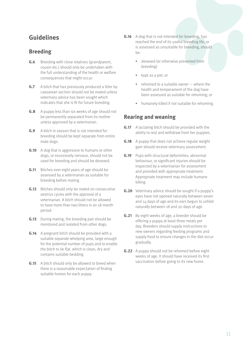### <span id="page-10-0"></span>**Guidelines**

#### **Breeding**

- **G.6** Breeding with close relatives (grandparent, cousin etc.) should only be undertaken with the full understanding of the health or welfare consequences that might occur.
- **G.7** A bitch that has previously produced a litter by caesarean section should not be mated unless veterinary advice has been sought which indicates that she is fit for future breeding.
- **G.8** A puppy less than six weeks of age should not be permanently separated from its mother unless approved by a veterinarian.
- **G .9** A bitch in season that is not intended for breeding should be kept separate from entire male dogs.
- **G.10** A dog that is aggressive to humans or other dogs, or excessively nervous, should not be used for breeding and should be desexed.
- **G.11** Bitches over eight years of age should be assessed by a veterinarian as suitable for breeding before mating.
- **G.12** Bitches should only be mated on consecutive oestrus cycles with the approval of a veterinarian. A bitch should not be allowed to have more than two litters in an 18 month period.
- **G.13** During mating, the breeding pair should be monitored and isolated from other dogs.
- **G.14** A pregnant bitch should be provided with a suitable separate whelping area, large enough for the potential number of pups and to enable the bitch to lie flat, which is clean, dry and contains suitable bedding.
- **G.15** A bitch should only be allowed to breed when there is a reasonable expectation of finding suitable homes for each puppy.
- **G.16** A dog that is not intended for breeding, has reached the end of its useful breeding life, or is assessed as unsuitable for breeding, should be:
	- desexed (or otherwise prevented from breeding)
	- kept as a pet; or
	- rehomed to a suitable owner where the health and temperament of the dog have been assessed as suitable for rehoming; or
	- humanely killed if not suitable for rehoming.

#### **Rearing and weaning**

- **G.17** A lactating bitch should be provided with the ability to rest and withdraw from her puppies.
- **G.18** A puppy that does not achieve regular weight gain should receive veterinary assessment.
- **G.19** Pups with structural deformities, abnormal behaviour, or significant injuries should be inspected by a veterinarian for assessment and provided with appropriate treatment. Appropriate treatment may include humane killing.
- **G.20** Veterinary advice should be sought if a puppy's eyes have not opened naturally between seven and 14 days of age and its ears begun to unfold naturally between 18 and 20 days of age.
- **G.21** By eight weeks of age, a breeder should be offering a puppy at least three meals per day. Breeders should supply instructions to new owners regarding feeding programs and supply food to ensure changes in the diet occur gradually.
- **G.22** A puppy should not be rehomed before eight weeks of age. It should have received its first vaccination before going to its new home.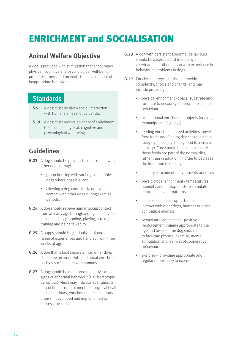# <span id="page-11-0"></span>ENRICHMENT and SOCIALISATION

### **Animal Welfare Objective**

A dog is provided with stimulation that encourages physical, cognitive and psychological well-being, promotes fitness and prevents the development of inappropriate behaviours.

#### **Standards**

- **S.9** A dog must be given social interaction with humans at least once per day.
- **S.10** A dog must receive a variety of enrichment to ensure its physical, cognitive and psychological well-being.

- **G.23** A dog should be provided social contact with other dogs through:
	- group housing with socially compatible dogs where possible; and
	- allowing a dog controlled/supervised contact with other dogs during exercise periods.
- **G.24** A dog should receive human social contact from an early age through a range of activities including daily grooming, playing, stroking, training and being talked to.
- **G.25** A puppy should be gradually habituated to a range of experiences and handled from three weeks of age.
- **G.26** A dog that is kept separate from other dogs should be provided with additional enrichment such as socialisation with humans.
- **G.27** A dog should be monitored regularly for signs of abnormal behaviour (e.g. stereotypic behaviour) which may indicate frustration, a lack of fitness or poor mental or physical health and a veterinary, enrichment and socialisation program developed and implemented to address the cause.
- **G .28** A dog with persistent abnormal behaviours should be assessed and treated by a veterinarian or other person with experience in behavioural problems in dogs.
- **G.29** Enrichment programs should provide complexity, choice and change, and may include providing:
	- physical enrichment space, substrate and furniture to encourage appropriate canine behaviours
	- occupational enrichment objects for a dog to manipulate (e.g. toys)
	- feeding enrichment feed activities, novel food items and feeding devices to increase foraging times (e.g. hiding food to increase activity). Care should be taken to ensure these feeds are part of the normal diet, rather than in addition, in order to decrease the likelihood of obesity
	- sensory enrichment novel smells or noises
	- physiological enrichment temperatures, humidity and photoperiods to stimulate natural behaviour patterns
	- social enrichment opportunities to interact with other dogs, humans or other compatible animals
	- behavioural enrichment positive reinforcement training appropriate to the age and breed of the dog should be used to facilitate physical exercise, mental stimulation and learning of cooperative behaviours
	- exercise providing appropriate and regular opportunity to exercise.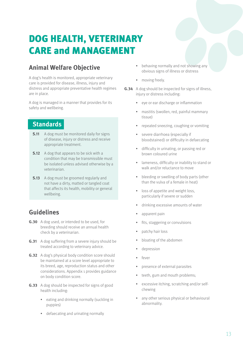# <span id="page-12-0"></span>DOG HEALTH, VETERINARY CARE and MANAGEMENT

### **Animal Welfare Objective**

A dog's health is monitored, appropriate veterinary care is provided for disease, illness, injury and distress and appropriate preventative health regimes are in place.

A dog is managed in a manner that provides for its safety and wellbeing.

### **Standards**

- **S.11** A dog must be monitored daily for signs of disease, injury or distress and receive appropriate treatment.
- **S.12** A dog that appears to be sick with a condition that may be transmissible must be isolated unless advised otherwise by a veterinarian.
- **S.13** A dog must be groomed regularly and not have a dirty, matted or tangled coat that affects its health, mobility or general wellbeing.

- **G .30** A dog used, or intended to be used, for breeding should receive an annual health check by a veterinarian.
- **G.31** A dog suffering from a severe injury should be treated according to veterinary advice.
- **G.32** A dog's physical body condition score should be maintained at a score level appropriate to its breed, age, reproduction status and other considerations. Appendix 1 provides guidance on body condition score.
- **G.33** A dog should be inspected for signs of good health including:
	- eating and drinking normally (suckling in puppies)
	- defaecating and urinating normally
- behaving normally and not showing any obvious signs of illness or distress
- moving freely.
- **G .34** A dog should be inspected for signs of illness, injury or distress including:
	- eye or ear discharge or inflammation
	- mastitis (swollen, red, painful mammary tissue)
	- repeated sneezing, coughing or vomiting
	- severe diarrhoea (especially if bloodstained) or difficulty in defaecating
	- difficulty in urinating, or passing red or brown coloured urine
	- lameness, difficulty or inability to stand or walk and/or reluctance to move
	- bleeding or swelling of body parts (other than the vulva of a female in heat)
	- loss of appetite and weight loss, particularly if severe or sudden
	- drinking excessive amounts of water
	- apparent pain
	- fits, staggering or convulsions
	- patchy hair loss
	- bloating of the abdomen
	- depression
	- fever
	- presence of external parasites
	- teeth, gum and mouth problems:
	- excessive itching, scratching and/or selfchewing
	- any other serious physical or behavioural abnormality.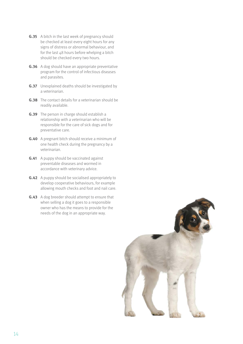- **G.35** A bitch in the last week of pregnancy should be checked at least every eight hours for any signs of distress or abnormal behaviour, and for the last 48 hours before whelping a bitch should be checked every two hours.
- **G.36** A dog should have an appropriate preventative program for the control of infectious diseases and parasites.
- **G.37** Unexplained deaths should be investigated by a veterinarian.
- **G .38** The contact details for a veterinarian should be readily available.
- **G.39** The person in charge should establish a relationship with a veterinarian who will be responsible for the care of sick dogs and for preventative care.
- **G.40** A pregnant bitch should receive a minimum of one health check during the pregnancy by a veterinarian.
- **G.41** A puppy should be vaccinated against preventable diseases and wormed in accordance with veterinary advice.
- **G.42** A puppy should be socialised appropriately to develop cooperative behaviours, for example allowing mouth checks and foot and nail care.
- **G.43** A dog breeder should attempt to ensure that when selling a dog it goes to a responsible owner who has the means to provide for the needs of the dog in an appropriate way.

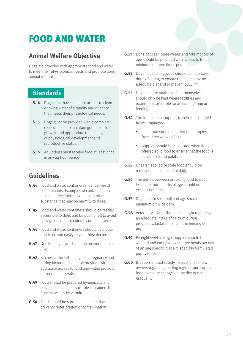# <span id="page-14-0"></span>FOOD AND WATER

### **Animal Welfare Objective**

Dogs are provided with appropriate food and water to meet their physiological needs and promote good animal welfare.

#### **Standards**

- **S.14** Dogs must have constant access to clean drinking water of a quality and quantity that meets their physiological needs.
- **S.15** Dogs must be provided with a complete diet sufficient to maintain good health, growth, and appropriate to the stage of physiological development and reproductive status.
- **S.16** Adult dogs must receive food at least once in any 24 hour period.

- **G .44** Food and water containers must be free of contaminants. Examples of contamination include: urine, faeces, vomitus or other substance that may be harmful to dogs.
- **G .45** Food and water containers should be readily accessible to dogs and be positioned to avoid spillage or contamination by urine or faeces.
- **G.46** Food and water containers should be stable. non-toxic and easily cleaned/disinfected.
- **G.47** One feeding bowl should be provided for each dog.
- **G.48** Bitches in the latter stages of pregnancy and during lactation should be provided with additional access to food and water, provided at frequent intervals.
- **G.49** Food should be prepared hygienically and served in clean, non-spillable containers that prevent access by vermin.
- **G .50** Food should be stored in a manner that prevents deterioration or contamination.
- **G.51** Dogs between three weeks and four months of age should be provided with access to food a minimum of three times per day.
- **G.52** Dogs housed in groups should be monitored during feeding to ensure that all receive an adequate diet and to prevent bullying.
- **G .53** Dogs that are unable to feed themselves should only be kept where facilities and expertise is available for artificial rearing or feeding.
- **G.54** The transition of puppies to solid food should be well-managed:
	- solid food should be offered to puppies from three weeks of age
	- puppies should be monitored when first offered solid food to ensure that the food is acceptable and palatable.
- **G .55** Uneaten spoiled or stale food should be removed and disposed of daily.
- **G.56** The period between providing food to dogs less than four months of age should not exceed 12 hours.
- **G.57** Dogs four to six months of age should be fed a minimum of twice daily.
- **G.58** Veterinary advice should be sought regarding an adequate intake of calcium during pregnancy, lactation, and in the feeding of puppies.
- **G .59** By eight weeks of age, puppies should be weaned and eating at least three meals per day of an age specific diet e.g. specially formulated puppy food.
- **G.60** Breeders should supply instructions to new owners regarding feeding regimes and supply food to ensure changes in the diet occur gradually.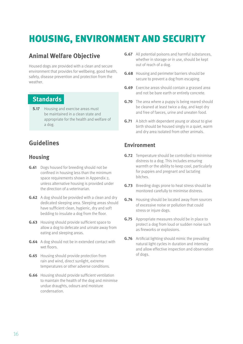# <span id="page-15-0"></span>HOUSING, ENVIRONMENT AND SECURITY

#### **Animal Welfare Objective**

Housed dogs are provided with a clean and secure environment that provides for wellbeing, good health, safety, disease prevention and protection from the weather.

#### **Standards**

**S.17** Housing and exercise areas must be maintained in a clean state and appropriate for the health and welfare of a dog.

### **Guidelines**

#### **Housing**

- **G.61** Dogs housed for breeding should not be confined in housing less than the minimum space requirements shown in Appendix 2, unless alternative housing is provided under the direction of a veterinarian.
- **G.62** A dog should be provided with a clean and dry dedicated sleeping area. Sleeping areas should have sufficient clean, hygienic, dry and soft bedding to insulate a dog from the floor.
- **G.63** Housing should provide sufficient space to allow a dog to defecate and urinate away from eating and sleeping areas.
- **G.64** A dog should not be in extended contact with wet floors.
- **G.65** Housing should provide protection from rain and wind, direct sunlight, extreme temperatures or other adverse conditions.
- **G.66** Housing should provide sufficient ventilation to maintain the health of the dog and minimise undue draughts, odours and moisture condensation.
- **G.67** All potential poisons and harmful substances. whether in storage or in use, should be kept out of reach of a dog.
- **G.68** Housing and perimeter barriers should be secure to prevent a dog from escaping.
- **G.69** Exercise areas should contain a grassed area and not be bare earth or entirely concrete.
- **G.70** The area where a puppy is being reared should be cleaned at least twice a day, and kept dry and free of faeces, urine and uneaten food.
- **G.71** A bitch with dependent young or about to give birth should be housed singly in a quiet, warm and dry area isolated from other animals.

#### **Environment**

- **G.72** Temperature should be controlled to minimise distress to a dog. This includes ensuring warmth or the ability to keep cool, particularly for puppies and pregnant and lactating bitches.
- **G.73** Breeding dogs prone to heat stress should be monitored carefully to minimise distress.
- **G .74** Housing should be located away from sources of excessive noise or pollution that could stress or injure dogs.
- **G.75** Appropriate measures should be in place to protect a dog from loud or sudden noise such as fireworks or explosions.
- **G.76** Artificial lighting should mimic the prevailing natural light cycles in duration and intensity and allow effective inspection and observation of dogs.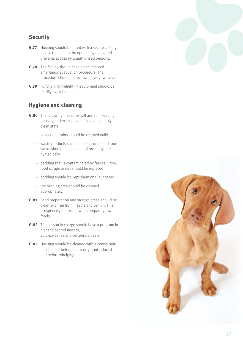#### **Security**

- **G.77** Housing should be fitted with a secure closing device that cannot be opened by a dog and prevents access by unauthorised persons.
- **G.78** The facility should have a documented emergency evacuation procedure. The procedure should be reviewed every two years.
- **G.79** Functioning firefighting equipment should be readily available.

#### **Hygiene and cleaning**

- **G.80** The following measures will assist in keeping housing and exercise areas in a reasonably clean state:
	- collection drains should be cleaned daily
	- waste products such as faeces, urine and food waste should be disposed of promptly and hygienically
	- bedding that is contaminated by faeces, urine, food scraps or dirt should be replaced
	- bedding should be kept clean and laundered
	- the birthing area should be cleaned appropriately.
- **G.81** Food preparation and storage areas should be clean and free from insects and vermin. This is especially important when preparing raw foods.
- **G.82** The person in charge should have a program in place to control insects, ecto-parasites and vertebrate pests.
- **G.83** Housing should be cleaned with a kennel safe disinfectant before a new dog is introduced and before whelping.

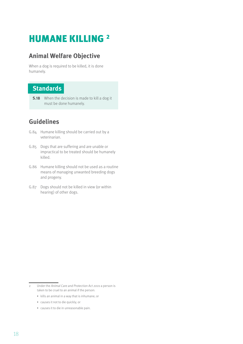### <span id="page-17-0"></span>HUMANE KILLING 2

#### **Animal Welfare Objective**

When a dog is required to be killed, it is done humanely.

#### **Standards**

**S.18** When the decision is made to kill a dog it must be done humanely.

- G.84 Humane killing should be carried out by a veterinarian.
- G.85 Dogs that are suffering and are unable or impractical to be treated should be humanely killed.
- G.86 Humane killing should not be used as a routine means of managing unwanted breeding dogs and progeny.
- G.87 Dogs should not be killed in view (or within hearing) of other dogs.

- kills an animal in a way that is inhumane; or
- causes it not to die quickly; or
- causes it to die in unreasonable pain.

<sup>2</sup> Under the Animal Care and Protection Act 2001 a person is taken to be cruel to an animal if the person: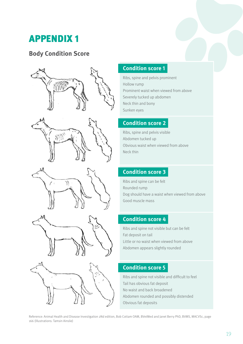# <span id="page-18-0"></span>APPENDIX 1

#### **Body Condition Score**











#### **Condition score 1**

Ribs, spine and pelvis prominent Hollow rump Prominent waist when viewed from above Severely tucked up abdomen Neck thin and bony Sunken eyes

#### **Condition score 2**

Ribs, spine and pelvis visible Abdomen tucked up Obvious waist when viewed from above Neck thin

#### **Condition score 3**

Ribs and spine can be felt Rounded rump Dog should have a waist when viewed from above Good muscle mass

#### **Condition score 4**

Ribs and spine not visible but can be felt Fat deposit on tail Little or no waist when viewed from above Abdomen appears slightly rounded

#### **Condition score 5**

Ribs and spine not visible and difficult to feel Tail has obvious fat deposit No waist and back broadened Abdomen rounded and possibly distended Obvious fat deposits

Reference: Animal Health and Disease Investigation 2Nd edition, Bob Cottam OAM, BVetMed and Janet Berry PhD, BVMS, MACVSc, page 166 (Illustrations: Tamsin Ainslie)